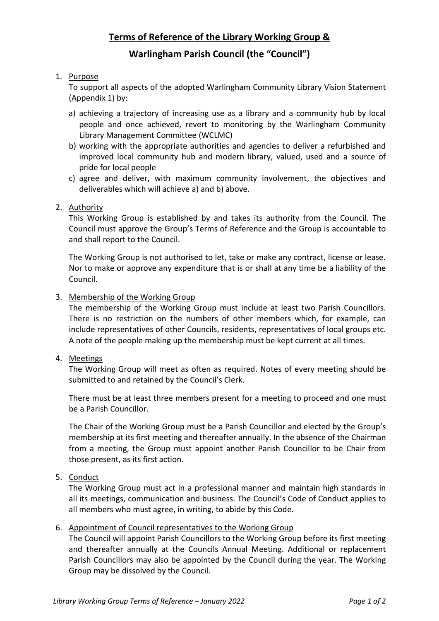## **Terms of Reference of the Library Working Group &**

### **Warlingham Parish Council (the "Council")**

### 1. Purpose

To support all aspects of the adopted Warlingham Community Library Vision Statement (Appendix 1) by:

- a) achieving a trajectory of increasing use as a library and a community hub by local people and once achieved, revert to monitoring by the Warlingham Community Library Management Committee (WCLMC)
- b) working with the appropriate authorities and agencies to deliver a refurbished and improved local community hub and modern library, valued, used and a source of pride for local people
- c) agree and deliver, with maximum community involvement, the objectives and deliverables which will achieve a) and b) above.

### 2. Authority

This Working Group is established by and takes its authority from the Council. The Council must approve the Group's Terms of Reference and the Group is accountable to and shall report to the Council.

The Working Group is not authorised to let, take or make any contract, license or lease. Nor to make or approve any expenditure that is or shall at any time be a liability of the Council.

#### 3. Membership of the Working Group

The membership of the Working Group must include at least two Parish Councillors. There is no restriction on the numbers of other members which, for example, can include representatives of other Councils, residents, representatives of local groups etc. A note of the people making up the membership must be kept current at all times.

#### 4. Meetings

The Working Group will meet as often as required. Notes of every meeting should be submitted to and retained by the Council's Clerk.

There must be at least three members present for a meeting to proceed and one must be a Parish Councillor.

The Chair of the Working Group must be a Parish Councillor and elected by the Group's membership at its first meeting and thereafter annually. In the absence of the Chairman from a meeting, the Group must appoint another Parish Councillor to be Chair from those present, as its first action.

#### 5. Conduct

The Working Group must act in a professional manner and maintain high standards in all its meetings, communication and business. The Council's Code of Conduct applies to all members who must agree, in writing, to abide by this Code.

#### 6. Appointment of Council representatives to the Working Group

The Council will appoint Parish Councillors to the Working Group before its first meeting and thereafter annually at the Councils Annual Meeting. Additional or replacement Parish Councillors may also be appointed by the Council during the year. The Working Group may be dissolved by the Council.